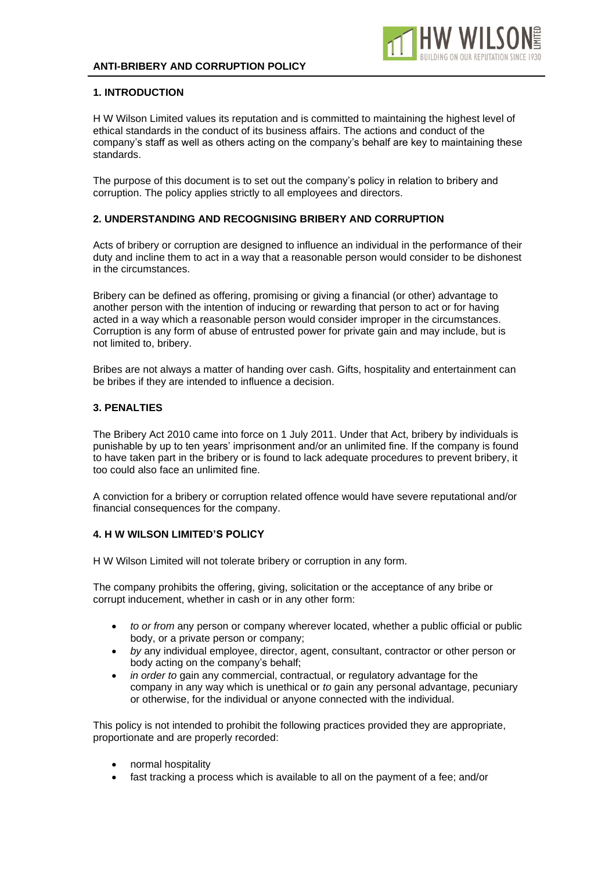

### **1. INTRODUCTION**

H W Wilson Limited values its reputation and is committed to maintaining the highest level of ethical standards in the conduct of its business affairs. The actions and conduct of the company's staff as well as others acting on the company's behalf are key to maintaining these standards.

The purpose of this document is to set out the company's policy in relation to bribery and corruption. The policy applies strictly to all employees and directors.

# **2. UNDERSTANDING AND RECOGNISING BRIBERY AND CORRUPTION**

Acts of bribery or corruption are designed to influence an individual in the performance of their duty and incline them to act in a way that a reasonable person would consider to be dishonest in the circumstances.

Bribery can be defined as offering, promising or giving a financial (or other) advantage to another person with the intention of inducing or rewarding that person to act or for having acted in a way which a reasonable person would consider improper in the circumstances. Corruption is any form of abuse of entrusted power for private gain and may include, but is not limited to, bribery.

Bribes are not always a matter of handing over cash. Gifts, hospitality and entertainment can be bribes if they are intended to influence a decision.

### **3. PENALTIES**

The Bribery Act 2010 came into force on 1 July 2011. Under that Act, bribery by individuals is punishable by up to ten years' imprisonment and/or an unlimited fine. If the company is found to have taken part in the bribery or is found to lack adequate procedures to prevent bribery, it too could also face an unlimited fine.

A conviction for a bribery or corruption related offence would have severe reputational and/or financial consequences for the company.

### **4. H W WILSON LIMITED'S POLICY**

H W Wilson Limited will not tolerate bribery or corruption in any form.

The company prohibits the offering, giving, solicitation or the acceptance of any bribe or corrupt inducement, whether in cash or in any other form:

- *to or from* any person or company wherever located, whether a public official or public body, or a private person or company;
- *by* any individual employee, director, agent, consultant, contractor or other person or body acting on the company's behalf;
- *in order to* gain any commercial, contractual, or regulatory advantage for the company in any way which is unethical or *to* gain any personal advantage, pecuniary or otherwise, for the individual or anyone connected with the individual.

This policy is not intended to prohibit the following practices provided they are appropriate, proportionate and are properly recorded:

- normal hospitality
- fast tracking a process which is available to all on the payment of a fee; and/or